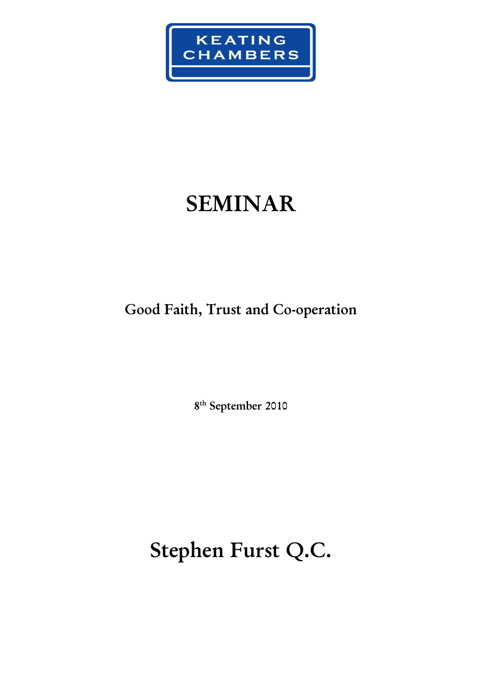

## **SEMINAR**

**Good Faith, Trust and Co-operation**

**8 th September 2010**

**Stephen Furst Q.C.**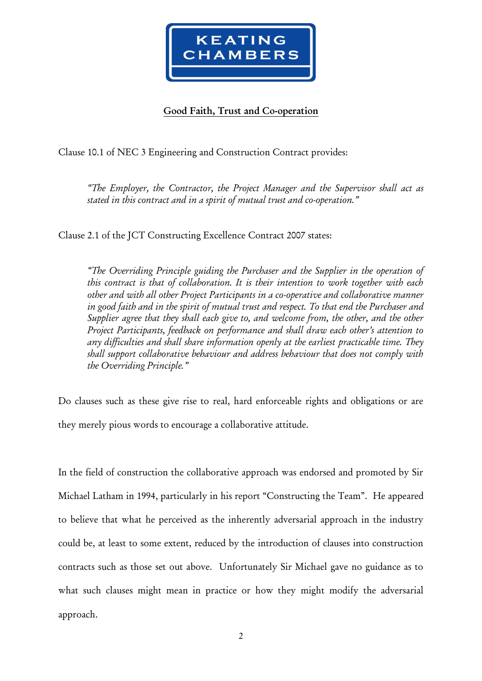

## **Good Faith, Trust and Co-operation**

Clause 10.1 of NEC 3 Engineering and Construction Contract provides:

*"The Employer, the Contractor, the Project Manager and the Supervisor shall act as stated in this contract and in a spirit of mutual trust and co-operation."*

Clause 2.1 of the JCT Constructing Excellence Contract 2007 states:

*"The Overriding Principle guiding the Purchaser and the Supplier in the operation of this contract is that of collaboration. It is their intention to work together with each other and with all other Project Participants in a co-operative and collaborative manner in good faith and in the spirit of mutual trust and respect. To that end the Purchaser and Supplier agree that they shall each give to, and welcome from, the other, and the other Project Participants, feedback on performance and shall draw each other's attention to any difficulties and shall share information openly at the earliest practicable time. They shall support collaborative behaviour and address behaviour that does not comply with the Overriding Principle."*

Do clauses such as these give rise to real, hard enforceable rights and obligations or are they merely pious words to encourage a collaborative attitude.

In the field of construction the collaborative approach was endorsed and promoted by Sir Michael Latham in 1994, particularly in his report "Constructing the Team". He appeared to believe that what he perceived as the inherently adversarial approach in the industry could be, at least to some extent, reduced by the introduction of clauses into construction contracts such as those set out above. Unfortunately Sir Michael gave no guidance as to what such clauses might mean in practice or how they might modify the adversarial approach.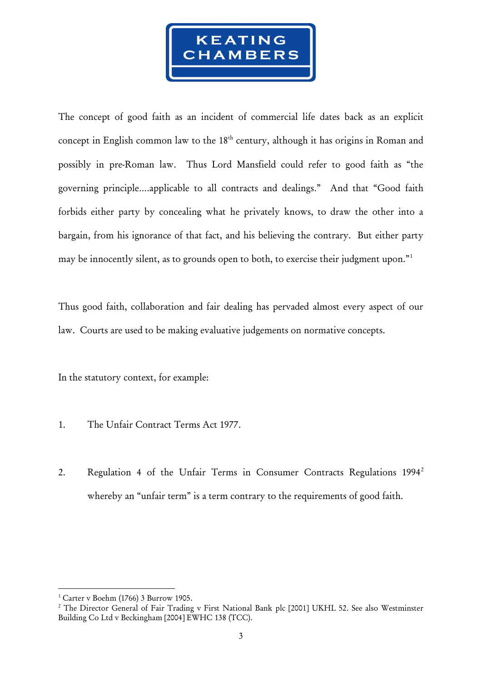

The concept of good faith as an incident of commercial life dates back as an explicit concept in English common law to the 18<sup>th</sup> century, although it has origins in Roman and possibly in pre-Roman law. Thus Lord Mansfield could refer to good faith as "the governing principle….applicable to all contracts and dealings." And that "Good faith forbids either party by concealing what he privately knows, to draw the other into a bargain, from his ignorance of that fact, and his believing the contrary. But either party may be innocently silent, as to grounds open to both, to exercise their judgment upon."<sup>1</sup>

Thus good faith, collaboration and fair dealing has pervaded almost every aspect of our law. Courts are used to be making evaluative judgements on normative concepts.

In the statutory context, for example:

- 1. The Unfair Contract Terms Act 1977.
- 2. Regulation 4 of the Unfair Terms in Consumer Contracts Regulations 1994<sup>2</sup> whereby an "unfair term" is a term contrary to the requirements of good faith.

 $1$  Carter v Boehm (1766) 3 Burrow 1905.

<sup>&</sup>lt;sup>2</sup> The Director General of Fair Trading v First National Bank plc [2001] UKHL 52. See also Westminster Building Co Ltd v Beckingham [2004] EWHC 138 (TCC).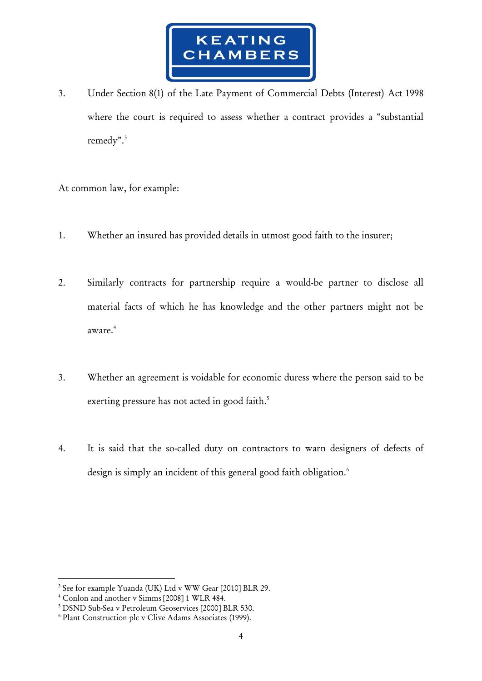

3. Under Section 8(1) of the Late Payment of Commercial Debts (Interest) Act 1998 where the court is required to assess whether a contract provides a "substantial remedy".<sup>3</sup>

At common law, for example:

- 1. Whether an insured has provided details in utmost good faith to the insurer;
- 2. Similarly contracts for partnership require a would-be partner to disclose all material facts of which he has knowledge and the other partners might not be aware.<sup>4</sup>
- 3. Whether an agreement is voidable for economic duress where the person said to be exerting pressure has not acted in good faith.<sup>5</sup>
- 4. It is said that the so-called duty on contractors to warn designers of defects of design is simply an incident of this general good faith obligation. 6

1

<sup>3</sup> See for example Yuanda (UK) Ltd v WW Gear [2010] BLR 29.

<sup>4</sup> Conlon and another v Simms [2008] 1 WLR 484.

<sup>5</sup> DSND Sub-Sea v Petroleum Geoservices [2000] BLR 530.

<sup>6</sup> Plant Construction plc v Clive Adams Associates (1999).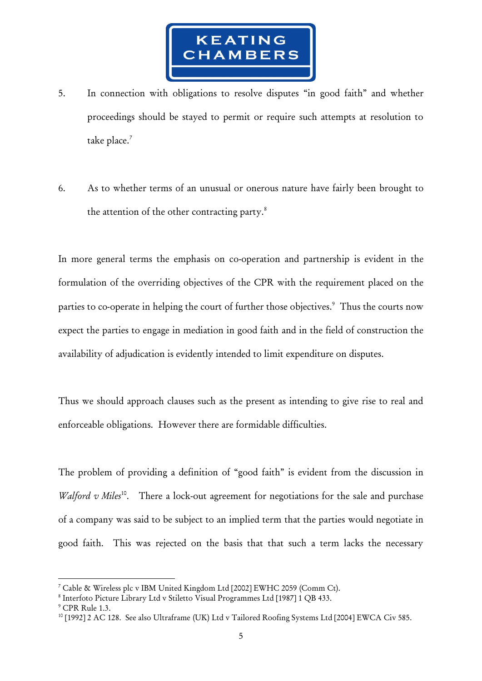

- 5. In connection with obligations to resolve disputes "in good faith" and whether proceedings should be stayed to permit or require such attempts at resolution to take place.<sup>7</sup>
- 6. As to whether terms of an unusual or onerous nature have fairly been brought to the attention of the other contracting party.<sup>8</sup>

In more general terms the emphasis on co-operation and partnership is evident in the formulation of the overriding objectives of the CPR with the requirement placed on the parties to co-operate in helping the court of further those objectives.<sup>9</sup> Thus the courts now expect the parties to engage in mediation in good faith and in the field of construction the availability of adjudication is evidently intended to limit expenditure on disputes.

Thus we should approach clauses such as the present as intending to give rise to real and enforceable obligations. However there are formidable difficulties.

The problem of providing a definition of "good faith" is evident from the discussion in Walford v Miles<sup>10</sup>. There a lock-out agreement for negotiations for the sale and purchase of a company was said to be subject to an implied term that the parties would negotiate in good faith. This was rejected on the basis that that such a term lacks the necessary

1

<sup>7</sup> Cable & Wireless plc v IBM United Kingdom Ltd [2002] EWHC 2059 (Comm Ct).

<sup>8</sup> Interfoto Picture Library Ltd v Stiletto Visual Programmes Ltd [1987] 1 QB 433.

<sup>9</sup> CPR Rule 1.3.

<sup>&</sup>lt;sup>10</sup> [1992] 2 AC 128. See also Ultraframe (UK) Ltd v Tailored Roofing Systems Ltd [2004] EWCA Civ 585.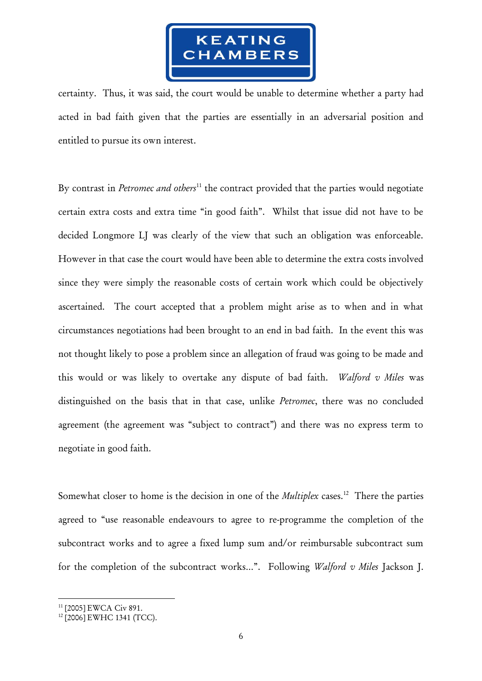

certainty. Thus, it was said, the court would be unable to determine whether a party had acted in bad faith given that the parties are essentially in an adversarial position and entitled to pursue its own interest.

By contrast in *Petromec and others*<sup>11</sup> the contract provided that the parties would negotiate certain extra costs and extra time "in good faith". Whilst that issue did not have to be decided Longmore LJ was clearly of the view that such an obligation was enforceable. However in that case the court would have been able to determine the extra costs involved since they were simply the reasonable costs of certain work which could be objectively ascertained. The court accepted that a problem might arise as to when and in what circumstances negotiations had been brought to an end in bad faith. In the event this was not thought likely to pose a problem since an allegation of fraud was going to be made and this would or was likely to overtake any dispute of bad faith. *Walford v Miles* was distinguished on the basis that in that case, unlike *Petromec*, there was no concluded agreement (the agreement was "subject to contract") and there was no express term to negotiate in good faith.

Somewhat closer to home is the decision in one of the *Multiplex* cases.<sup>12</sup> There the parties agreed to "use reasonable endeavours to agree to re-programme the completion of the subcontract works and to agree a fixed lump sum and/or reimbursable subcontract sum for the completion of the subcontract works…". Following *Walford v Miles* Jackson J.

-

<sup>&</sup>lt;sup>11</sup> [2005] EWCA Civ 891.

<sup>12</sup> [2006] EWHC 1341 (TCC).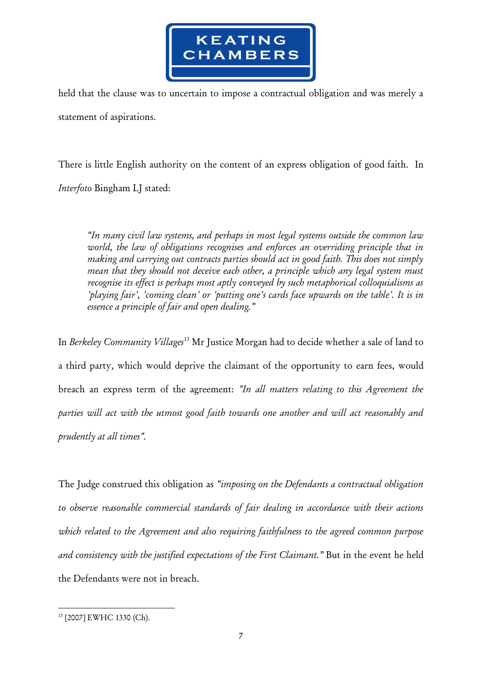

held that the clause was to uncertain to impose a contractual obligation and was merely a statement of aspirations.

There is little English authority on the content of an express obligation of good faith. In *Interfoto* Bingham LJ stated:

*"In many civil law systems, and perhaps in most legal systems outside the common law*  world, the law of obligations recognises and enforces an overriding principle that in *making and carrying out contracts parties should act in good faith. This does not simply mean that they should not deceive each other, a principle which any legal system must recognise its effect is perhaps most aptly conveyed by such metaphorical colloquialisms as 'playing fair', 'coming clean' or 'putting one's cards face upwards on the table'. It is in essence a principle of fair and open dealing."*

In *Berkeley Community Villages*<sup>13</sup> Mr Justice Morgan had to decide whether a sale of land to a third party, which would deprive the claimant of the opportunity to earn fees, would breach an express term of the agreement: *"In all matters relating to this Agreement the parties will act with the utmost good faith towards one another and will act reasonably and prudently at all times".*

The Judge construed this obligation as *"imposing on the Defendants a contractual obligation to observe reasonable commercial standards of fair dealing in accordance with their actions which related to the Agreement and also requiring faithfulness to the agreed common purpose and consistency with the justified expectations of the First Claimant."* But in the event he held the Defendants were not in breach.

<sup>13</sup> [2007] EWHC 1330 (Ch).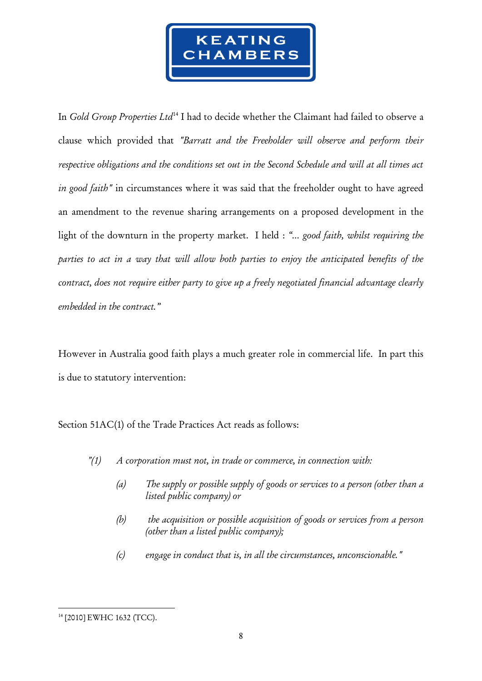

In *Gold Group Properties Ltd*<sup>14</sup> I had to decide whether the Claimant had failed to observe a clause which provided that *"Barratt and the Freeholder will observe and perform their respective obligations and the conditions set out in the Second Schedule and will at all times act in good faith"* in circumstances where it was said that the freeholder ought to have agreed an amendment to the revenue sharing arrangements on a proposed development in the light of the downturn in the property market. I held : *"… good faith, whilst requiring the parties to act in a way that will allow both parties to enjoy the anticipated benefits of the contract, does not require either party to give up a freely negotiated financial advantage clearly embedded in the contract."*

However in Australia good faith plays a much greater role in commercial life. In part this is due to statutory intervention:

Section 51AC(1) of the Trade Practices Act reads as follows:

- *"(1) A corporation must not, in trade or commerce, in connection with:*
	- *(a) The supply or possible supply of goods or services to a person (other than a listed public company) or*
	- *(b) the acquisition or possible acquisition of goods or services from a person (other than a listed public company);*
	- *(c) engage in conduct that is, in all the circumstances, unconscionable."*

<sup>&</sup>lt;u>.</u> <sup>14</sup> [2010] EWHC 1632 (TCC).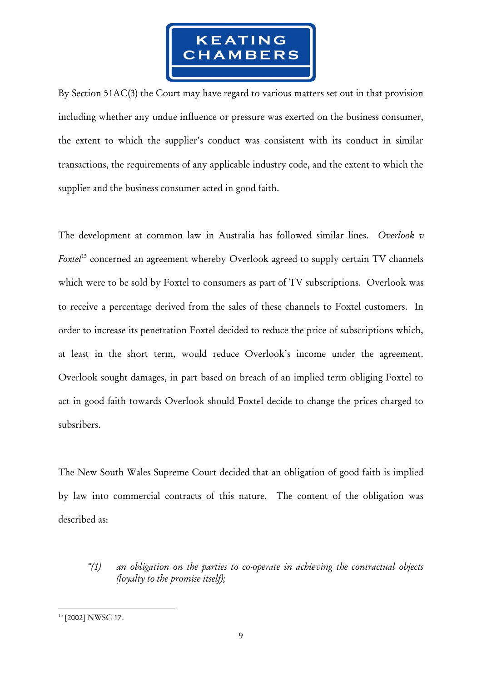

By Section 51AC(3) the Court may have regard to various matters set out in that provision including whether any undue influence or pressure was exerted on the business consumer, the extent to which the supplier's conduct was consistent with its conduct in similar transactions, the requirements of any applicable industry code, and the extent to which the supplier and the business consumer acted in good faith.

The development at common law in Australia has followed similar lines. *Overlook v Foxtel*<sup>15</sup> concerned an agreement whereby Overlook agreed to supply certain TV channels which were to be sold by Foxtel to consumers as part of TV subscriptions. Overlook was to receive a percentage derived from the sales of these channels to Foxtel customers. In order to increase its penetration Foxtel decided to reduce the price of subscriptions which, at least in the short term, would reduce Overlook's income under the agreement. Overlook sought damages, in part based on breach of an implied term obliging Foxtel to act in good faith towards Overlook should Foxtel decide to change the prices charged to subsribers.

The New South Wales Supreme Court decided that an obligation of good faith is implied by law into commercial contracts of this nature. The content of the obligation was described as:

*"(1) an obligation on the parties to co-operate in achieving the contractual objects (loyalty to the promise itself);*

<sup>&</sup>lt;u>.</u> <sup>15</sup> [2002] NWSC 17.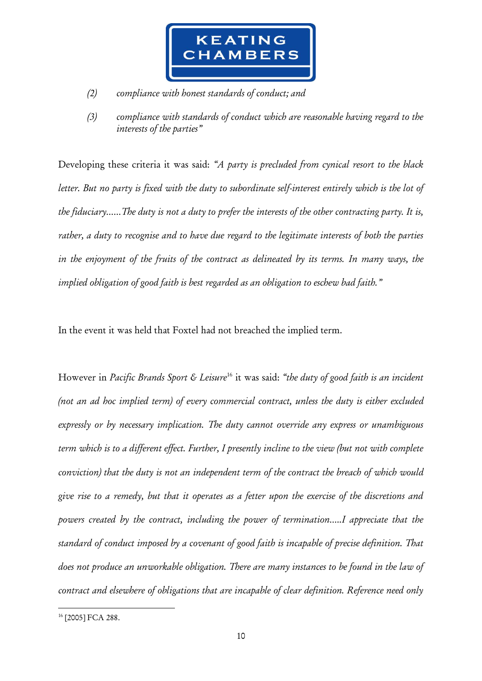

- *(2) compliance with honest standards of conduct; and*
- *(3) compliance with standards of conduct which are reasonable having regard to the interests of the parties"*

Developing these criteria it was said: *"A party is precluded from cynical resort to the black letter. But no party is fixed with the duty to subordinate self-interest entirely which is the lot of the fiduciary……The duty is not a duty to prefer the interests of the other contracting party. It is, rather, a duty to recognise and to have due regard to the legitimate interests of both the parties in the enjoyment of the fruits of the contract as delineated by its terms. In many ways, the implied obligation of good faith is best regarded as an obligation to eschew bad faith."*

In the event it was held that Foxtel had not breached the implied term.

However in *Pacific Brands Sport & Leisure*<sup>16</sup> it was said: *"the duty of good faith is an incident (not an ad hoc implied term) of every commercial contract, unless the duty is either excluded expressly or by necessary implication. The duty cannot override any express or unambiguous term which is to a different effect. Further, I presently incline to the view (but not with complete conviction) that the duty is not an independent term of the contract the breach of which would give rise to a remedy, but that it operates as a fetter upon the exercise of the discretions and powers created by the contract, including the power of termination…..I appreciate that the standard of conduct imposed by a covenant of good faith is incapable of precise definition. That does not produce an unworkable obligation. There are many instances to be found in the law of contract and elsewhere of obligations that are incapable of clear definition. Reference need only* 

<sup>&</sup>lt;sup>16</sup> [2005] FCA 288.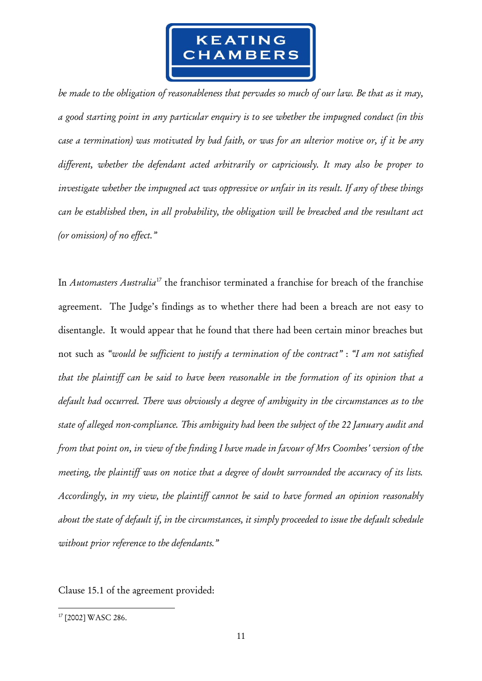

*be made to the obligation of reasonableness that pervades so much of our law. Be that as it may, a good starting point in any particular enquiry is to see whether the impugned conduct (in this case a termination) was motivated by bad faith, or was for an ulterior motive or, if it be any different, whether the defendant acted arbitrarily or capriciously. It may also be proper to investigate whether the impugned act was oppressive or unfair in its result. If any of these things can be established then, in all probability, the obligation will be breached and the resultant act (or omission) of no effect."*

In *Automasters Australia*<sup>17</sup> the franchisor terminated a franchise for breach of the franchise agreement. The Judge's findings as to whether there had been a breach are not easy to disentangle. It would appear that he found that there had been certain minor breaches but not such as *"would be sufficient to justify a termination of the contract"* : *"I am not satisfied that the plaintiff can be said to have been reasonable in the formation of its opinion that a default had occurred. There was obviously a degree of ambiguity in the circumstances as to the state of alleged non-compliance. This ambiguity had been the subject of the 22 January audit and from that point on, in view of the finding I have made in favour of Mrs Coombes' version of the meeting, the plaintiff was on notice that a degree of doubt surrounded the accuracy of its lists. Accordingly, in my view, the plaintiff cannot be said to have formed an opinion reasonably about the state of default if, in the circumstances, it simply proceeded to issue the default schedule without prior reference to the defendants."*

Clause 15.1 of the agreement provided:

<sup>&</sup>lt;sup>17</sup> [2002] WASC 286.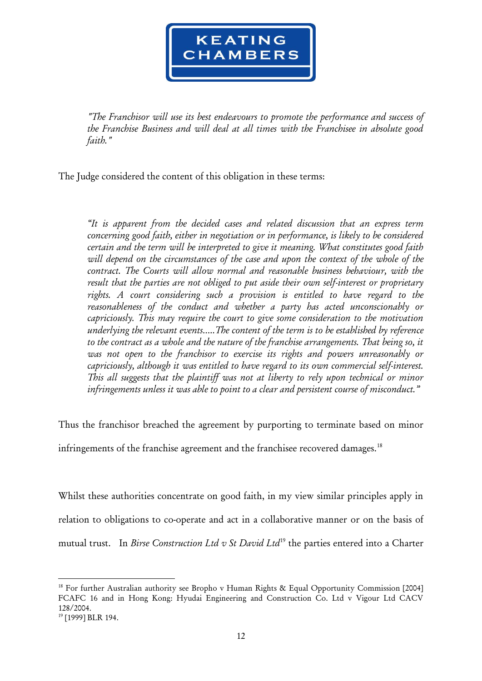

*"The Franchisor will use its best endeavours to promote the performance and success of the Franchise Business and will deal at all times with the Franchisee in absolute good faith."*

The Judge considered the content of this obligation in these terms:

*"It is apparent from the decided cases and related discussion that an express term concerning good faith, either in negotiation or in performance, is likely to be considered certain and the term will be interpreted to give it meaning. What constitutes good faith will depend on the circumstances of the case and upon the context of the whole of the contract. The Courts will allow normal and reasonable business behaviour, with the result that the parties are not obliged to put aside their own self-interest or proprietary rights. A court considering such a provision is entitled to have regard to the reasonableness of the conduct and whether a party has acted unconscionably or capriciously. This may require the court to give some consideration to the motivation underlying the relevant events…..The content of the term is to be established by reference to the contract as a whole and the nature of the franchise arrangements. That being so, it*  was not open to the franchisor to exercise its rights and powers unreasonably or *capriciously, although it was entitled to have regard to its own commercial self-interest. This all suggests that the plaintiff was not at liberty to rely upon technical or minor infringements unless it was able to point to a clear and persistent course of misconduct."*

Thus the franchisor breached the agreement by purporting to terminate based on minor

infringements of the franchise agreement and the franchisee recovered damages.<sup>18</sup>

Whilst these authorities concentrate on good faith, in my view similar principles apply in relation to obligations to co-operate and act in a collaborative manner or on the basis of mutual trust. In *Birse Construction Ltd v St David Ltd*<sup>19</sup> the parties entered into a Charter

1

<sup>&</sup>lt;sup>18</sup> For further Australian authority see Bropho v Human Rights & Equal Opportunity Commission [2004] FCAFC 16 and in Hong Kong: Hyudai Engineering and Construction Co. Ltd v Vigour Ltd CACV 128/2004.

<sup>&</sup>lt;sup>19</sup> [1999] BLR 194.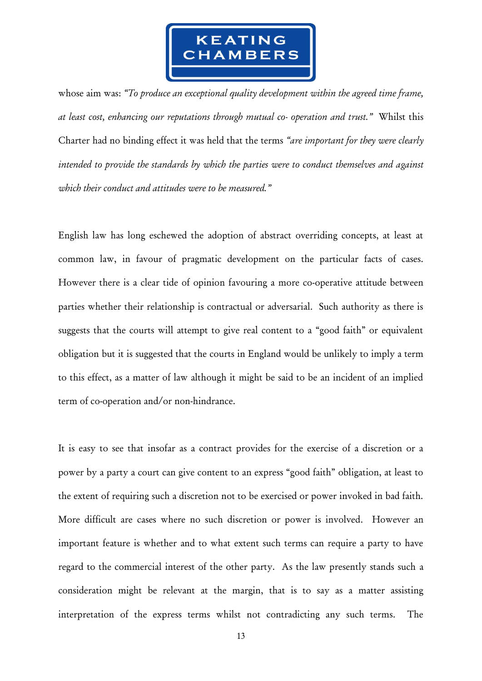

whose aim was: *"To produce an exceptional quality development within the agreed time frame, at least cost, enhancing our reputations through mutual co- operation and trust."* Whilst this Charter had no binding effect it was held that the terms *"are important for they were clearly intended to provide the standards by which the parties were to conduct themselves and against which their conduct and attitudes were to be measured."*

English law has long eschewed the adoption of abstract overriding concepts, at least at common law, in favour of pragmatic development on the particular facts of cases. However there is a clear tide of opinion favouring a more co-operative attitude between parties whether their relationship is contractual or adversarial. Such authority as there is suggests that the courts will attempt to give real content to a "good faith" or equivalent obligation but it is suggested that the courts in England would be unlikely to imply a term to this effect, as a matter of law although it might be said to be an incident of an implied term of co-operation and/or non-hindrance.

It is easy to see that insofar as a contract provides for the exercise of a discretion or a power by a party a court can give content to an express "good faith" obligation, at least to the extent of requiring such a discretion not to be exercised or power invoked in bad faith. More difficult are cases where no such discretion or power is involved. However an important feature is whether and to what extent such terms can require a party to have regard to the commercial interest of the other party. As the law presently stands such a consideration might be relevant at the margin, that is to say as a matter assisting interpretation of the express terms whilst not contradicting any such terms. The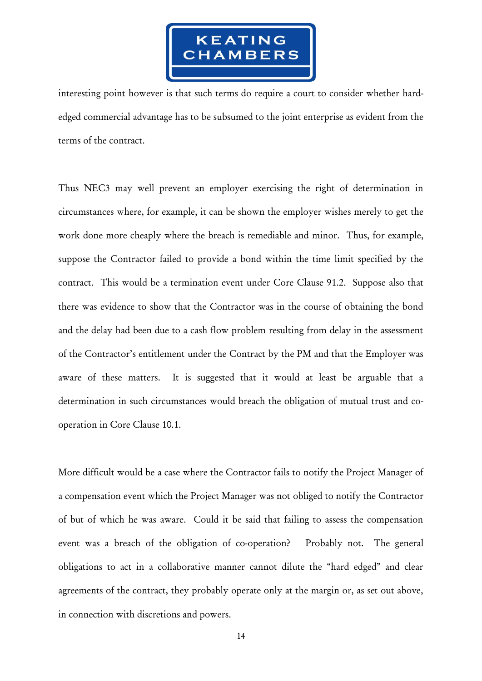

interesting point however is that such terms do require a court to consider whether hardedged commercial advantage has to be subsumed to the joint enterprise as evident from the terms of the contract.

Thus NEC3 may well prevent an employer exercising the right of determination in circumstances where, for example, it can be shown the employer wishes merely to get the work done more cheaply where the breach is remediable and minor. Thus, for example, suppose the Contractor failed to provide a bond within the time limit specified by the contract. This would be a termination event under Core Clause 91.2. Suppose also that there was evidence to show that the Contractor was in the course of obtaining the bond and the delay had been due to a cash flow problem resulting from delay in the assessment of the Contractor's entitlement under the Contract by the PM and that the Employer was aware of these matters. It is suggested that it would at least be arguable that a determination in such circumstances would breach the obligation of mutual trust and cooperation in Core Clause 10.1.

More difficult would be a case where the Contractor fails to notify the Project Manager of a compensation event which the Project Manager was not obliged to notify the Contractor of but of which he was aware. Could it be said that failing to assess the compensation event was a breach of the obligation of co-operation? Probably not. The general obligations to act in a collaborative manner cannot dilute the "hard edged" and clear agreements of the contract, they probably operate only at the margin or, as set out above, in connection with discretions and powers.